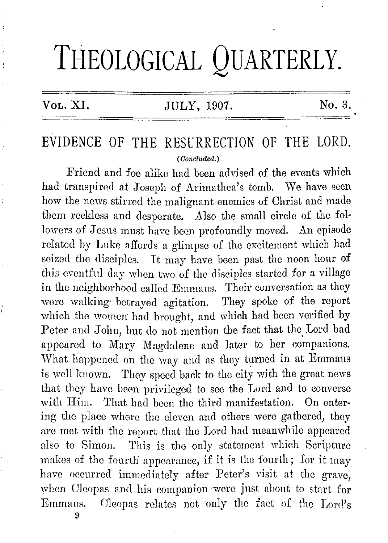# THEOLOGICAL QUARTERLY.

#### VoL. XI. JULY, 1907. No. 3.

## EVIDENCE OF THE RESURRECTION OF THE LORD. (Concluded.)

Friend and foe alike had been advised of the events which had transpired at Joseph of Arimathea's tomb. We have seen how the news stirred the malignant enemies of Christ and made them reckless and desperate. Also the small circle of the followers of Jesus must have been profoundly moved. An episode related by Luke affords a glimpse of the excitement which had seized the disciples. Jt may have been past the noon hour of this eventful day when two of the disciples started for a village in the neighborhood called Emmaus. Their conversation as they were walking· betrayed agitation. They spoke of the report which the women had brought, and which had been verified by Poter and John, but do not mention the fact that the, Lord had appeared to Mary Magdalene and later to her companions. What happened on the way and as they turned in at Emmaus is well known. They speed back to the city with the groat news that they have been privileged to see the Lord and to converse with Him. That had been the third manifestation. On entering the place where the eleven and others were gathered, they are met with the report that the Lord had meanwhile appeared also to Simon. This is tho only statement which Scripture makes of the fourth appearance, if it is the fourth; for it may have occurred immediately after Peter's visit at the grave, when Cleopas and his companion were just about to start for Emmaus. Oleopas relates not only the fact of the Lord's

9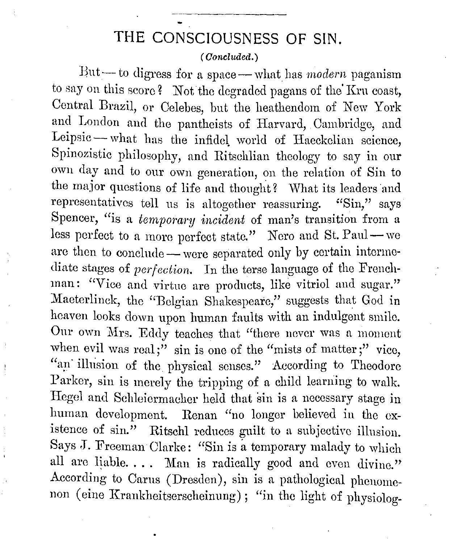### **THE CONSCIOUSNESS OF SIN.**

#### (Concluded.)

But - to digress for a space - what has *modern* paganism to say on this score? Not the degraded pagans of the Kru coast, Central Brazil, or Celebes, but the heathendom of New York and London and the pantheists of Harvard, Cambridge, and Leipsic-what has the infidel world of Haeckclian science, Spinozistic philosophy, and Ritschlian theology to say in our own day and to our own generation, on the relation of Sin to the major questions of life and thought? What its leaders and representatives tell us is altogether reassuring. "Sin," says Spencer, "is a *temporary incident* of man's transition from a less perfect to a more perfect state." Nero and St. Paul—we are then to conclude -- were separated only by certain intermediate stages of *perfection*. In the terse language of the Frenchman: "Vice and virtue are products, like vitriol and sugar." Maeterlinck, the "Belgian Shakespeare," suggests that God in heaven looks down upon human faults with an indulgent smile. Our own Mrs. Eddy teaches that "there never was a moment when evil was real;" sin is one of the "mists of matter;" vice, "an illusion of the physical senses." According to Theodore Parker, sin is merely the tripping of a child learning to walk. Hegel and Schleicrmacher held that sin is a necessary stage in human development. Renan "no longer believed in the existence of sin." Ritschl reduces guilt to a subjective illusion. Says J. Freeman Clarke: "Sin is a temporary malady to which all are liable. . . . Man is radically good and even divine." According to Carns (Dresden), sin is a pathological phenomenon (eine Krankheitserscheinung); "in the light of physiolog-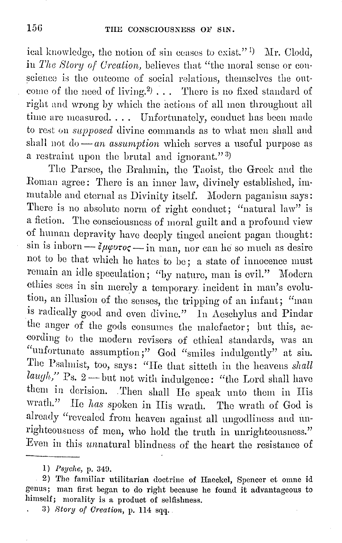ical knowledge, the notion of sin ceases to exist."  $\,$  Mr. Clodd, in *The* Story *of Creation,* believes that "the moral sense or conscience is the outcome of social relations, themselves the outcome of the need of living.<sup>2</sup>)  $\ldots$  There is no fixed standard of right and wrong by which the actions of all men throughout all time are measured.... Unfortunately, conduct has been made to rest on *supposed* divine commands as to what men shall and shall not do - *an assumption* which serves a useful purpose as a restraint upon the brutal and ignorant." <sup>3</sup> )

The Parsec, the Bralnnin, tho Taoist, the Greek and tho Roman agree: There is an inner law, divinely established, immutable and eternal as Divinity itself. Modern paganism says: There is no absolute norm of right conduct; "natural law" is a fiction. The consciousness of moral guilt and a profound view of human depravity have deeply tinged ancient pagan thought: sin is inborn  $-\frac{2\mu\varphi v\tau o\zeta}{\mu\varphi w\tau o\zeta}$  in man, nor can he so much as desire not to be that which he hates to be; a state of innocence must remain an idle speculation; "by nature, man is evil." Modern ethics sees in sin merely a temporary incident in man's evolution, an illusion of the senses, the tripping of an infant; "man is radically good and even divine." In Aeschylus and Pindar the anger of the gods consumes the malefactor; but this, according to the modern revisers of ethical standards, was an "unfortunate assumption;" God "smiles indulgently" at sin. The Psalmist, too, says: "He that sitteth in the heavens *shall laugh*," Ps. 2-but not with indulgence: "the Lord shall have them in derision. . Then shall He speak unto them in His wrath." Ho *has* spoken in His wrath. The wrath of God is already "revealed from heaven against all ungodliness and unrighteousness of men, who hold the truth in unrighteousness." Even in this unnatural blindness of the heart the resistance of

<sup>1)</sup> *Psyche*, p. 349.

<sup>2)</sup> The familiar utilitarian doctrine of Haeckel, Spencer et omne id genus; man first began to do right because he found it advantageous to himself; morality is a product of selfishness.

<sup>3)</sup> *Story of Creation,* p. 114 sqq.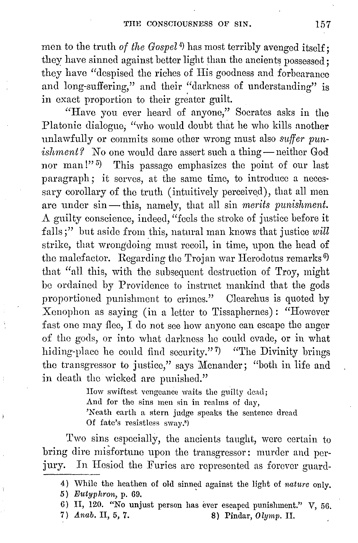men to the truth *of the Gospel* <sup>4</sup> ) has most terribly avenged itself; they have sinned against better light than the ancients possessed; they have "despised the riches of His goodness and forbearance and long-suffering," and their "darkness of understanding" is in exact proportion to their greater guilt.

"Have you ever heard of anyone," Socrates asks in the Platonic dialogue; "who would doubt that he who kills another unlawfully or commits some other wrong must also *suffer punishment?* No one would dare assert such a thing-neither God nor man!"<sup>5</sup>) This passage emphasizes the point of our last paragraph; it serves, at the same time, to introduce a necessary corollary of the truth (intuitively perceived), that all men are under sin-this, namely, that all sin *merits punishment*. A guilty conscience, indeed, "feels the stroke of justice before it falls;" but aside from this, natural man knows that justice  $will$ strike, that wrongdoing must recoil, in time, upon the head of the malefactor. Regarding the Trojan war Herodotus remarks<sup>6)</sup> that "all this, with the subsequent destruction of Troy, might be ordained by Providence to instrnct mankind that the gods proportioned punishment to crimes." Olearchus is quoted by Xenophon as saying ( in a letter to Tissaphernes) : "However fast one may flee, I do not see how anyone can escape the anger of the gods, or into what darkness he could evade, or in what hiding-place he could find security."<sup>7</sup>) "The Divinity brings the transgressor to justice," says Menander; "both in life and in death the wicked are punished."

> How swiftest vengeance waits the guilty dead; And for the sins men sin in realms of day, 'Neath earth a stern judge speaks the sentence dread Of fate's resistless sway.•)

Two sins especially, the ancients taught, were certain to bring dire misfortune upon the transgressor: murder and perjury. In Hesiod the Furies are represented as forever guard-

7)  $Anab$ , II, 5, 7. 8) Pindar, Olymp. II.

<sup>4)</sup> While the heathen of old sinned against the light of nature only.

<sup>5)</sup> Eutyphron, p. 69.

<sup>6)</sup> II, 120. "No unjust person has ever escaped punishment." V, 56.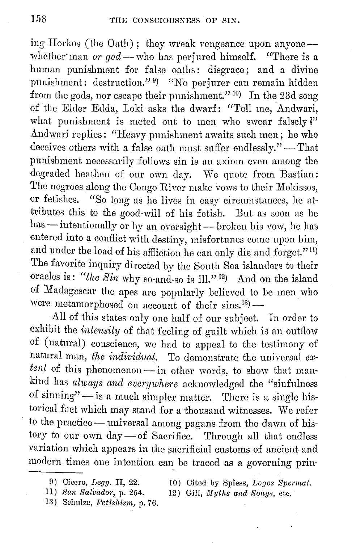ing Horkos (the Oath); they wreak vengeance upon anyonewhether man *or god* -- who has perjured himself. "There is a human punishment for false oaths: disgrace; and a divine punishment: destruction."<sup>9)</sup> "No perjurer can remain hidden from the gods, nor escape their punishment." <sup>10</sup>) In the 23d song of the Elder Edda, Loki asks the dwarf: "Tell me, Andwari, what punishment is meted out to men who swear falsely?" Andwari replies: "Heavy punishment awaits such men; he who deceives others with a false oath must suffer endlessly." -That punishment necessarily follows sin is an axiom even among the degraded heathen of our own day. We quote from Bastian: The negroes along the Congo River make vows to their Mokissos, or fetishes. "So long as he lives in easy circumstances, he attributes this to the good-will of his fotish. But as soon as he has - intentionally or by an oversight - broken his vow, he has entered into a conflict with destiny, misfortunes come upon him, and under the load of his affliction he can only die and forget."<sup>11)</sup> The favorite inquiry directed by the South Sea islanders to their oracles is: "the Sin why so-and-so is ill."<sup>12</sup>) And on the island of Madagascar the apes arc popularly believed to be men who were metamorphosed on account of their sins.<sup>13</sup>)  $-$ 

All of this states only one half of our subject. In order to exhibit the *intensity* of that feeling of guilt which is an outflow of (natural) conscience, we had to appeal to the testimony of natural man, *the individual.* To demonstrate the universal *ex*tent of this phenomenon - in other words, to show that mankind has *always and everywhere* acknowledged the "sinfulness of sinning" $-$ is a much simpler matter. There is a single historical fact which may stand for a thousand witnesses. We refer to the practice - universal among pagans from the dawn of history to our own day-of Sacrifice. Through all that endless variation which appears in the sacrificial customs of ancient and modern times one intention can\_ be traced as a governing prin-

10) Cited by Spiess, *Logos Bpennat.*  12) Gill, Myths and Songs, etc.

- 11) *Han 8alvador,* p. 254.
- 13) Schulze, *Fetishism*, p. 76.

<sup>0)</sup> Cicero, *Legg.* II, 22.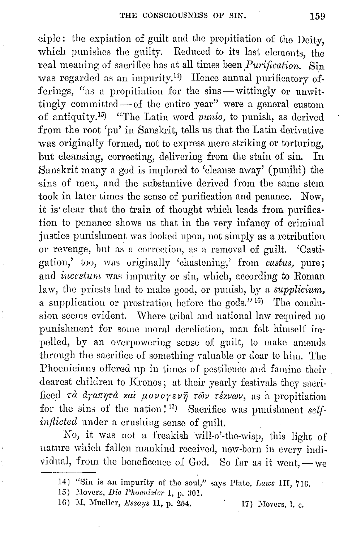ciple: the expiation of guilt and the propitiation of the Deity, which punishes the guilty. Reduced to its last elements, the real meaning of sacrifice has at all times been *Purification*. Sin was regarded as an impurity.<sup>14</sup>) Hence annual purificatory offerings, "as a propitiation for the sins-wittingly or unwittingly committed— of the entire year" were a general custom of antiquity. 15) "The Latin word *punio,* to punish, as derived from the root 'pu' in Sanskrit, tells us that the Latin derivative was originally formed, not to express mere striking or torturing, but cleansing, correcting, delivering from the stain of sin. In Sanskrit many a god is implored to 'cleanse away' (punihi) the sins of men, and the substantive derived from the same stem took in later times the sense of purification and penance. Now, it is· clear that the train of thought which leads from purification to penance shows us that in the very infancy of criminal justice punishment was looked npon, not simply as a retribution or revenge, but as a correction, as a removal of guilt. 'Castigation,' too, was originally 'chastening,' from *castus*, pure; and *incestum* was impurity or sin, which, according to Roman law, the priests had to make good, or punish, by a *supplicium,*  a supplication or prostration before the gods."  $16$ ) The conclusion seems evident. Where tribal and national law required no punishment for some moral dereliction, man felt himself impelled, by an overpowering sense of guilt, to make amends through the sacrifice of something Yaluable or dear to him. The Phoenicians offered up in times of pestilence and famine their dearest children to Kronos; at their yearly festivals they sacrificed *τά αγαπητά και μονογενη τών τέχνων*, as a propitiation for the sins of the nation!<sup>17</sup>) Sacrifice was punishment *selfinflicted* under a crushing sense of guilt.

No, it was not a freakish \vill-o'-the-wisp, this light of nature which fallen mankind received, new-born in every individual, from the beneficence of God. So far as it went,  $-$  we

16) M. Mueller, *Essays* II, p. 254. 17) Movers, I. c.

H) "Sin is an impurity of the soul," says Plato, *Laws* III, 71G.

<sup>15)</sup> Movers, *Die Phoenizier* I, p. 301.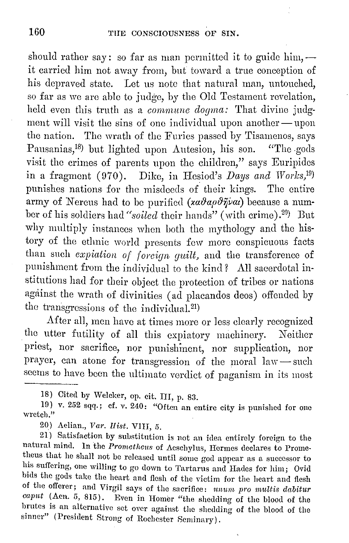should rather say: so far as man permitted it to guide him,  $$ it carried him not away from, but toward a true conception of his depraved state. Let us note that natural man, untouched, so far as we are able to judge, by the Old Testament revelation, held even this truth as a *commune dogma*: That divine judgment will visit the sins of one individual upon another-upon the nation. The wrath of the Furies passed by Tisamenos, says Pausanias,<sup>18</sup>) but lighted upon Autesion, his son. "The gods visit the crimes of parents upon the children," says Euripides in a fragment (070). Dike, in Hesiod's *Days and Worlcs,*19) punishes nations for the misdeeds of their kings. The entire army of Nereus had to be purified (xadapdñva) because a number of his soldiers had "soiled their hands" (with crime).<sup>20</sup>) But why multiply instances when both the mythology and the history of the ethnic world presents few more conspicuous facts than such *expiation of foreign guilt*, and the transference of punishment from the individual to the kind? All sacerdotal institutions had for their object the protection of tribes or nations against the wrath of divinities (ad placandos deos) offended by the transgressions of the individual.<sup>21)</sup>

After all, men have at times more or less clearly recognized the utter futility of all this expiatory machinery. Neither priest, nor sacrifice, nor punishincnt, nor supplication, nor prayer, can atone for transgression of the moral law-such seems to have been the ultimate verdict of paganism in its most

18) Cited by Welcker, op. cit. III, p. 83.

19) v. 252 sqq.; cf. v. 240: "Often an entire city is punished for one wretch." •

20\_) Aelian., *Var. llist.* VIII, 5.

21) Satisfaction by substitution is not an idea entirely foreign to the natural mind. In the *Prometheus* of Aeschylus, Hermes declares to Prometheus that he shall not be released until some god appear as a successor to his suffering, one willing to go down to Tartarus and Hades for him; Ovid bids the gods take the heart and flesh of the victim for the heart and flesh of the offerer; and Virgil says of the sacrifice: *ununi pro multis dabitur caput* (Acn. 5, 815). Even in Homer "the shedding of the blood of the brutes is an alternative set over against the shedding of the blood of the sinner" (President Strong of Rochester Seminary).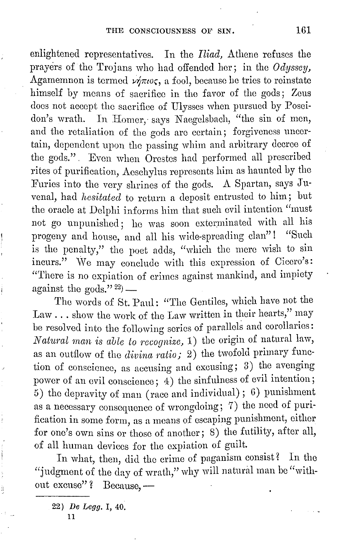enlightened representatives. In the *Iliad,* Athene refuses the prayers of the Trojans who had offended her; in the *Odyssey,*  Agamemnon is termed  $\nu \eta \pi \omega \zeta$ , a fool, because he tries to reinstate himself by means of sacrifice in tho favor of the gods; Zeus docs not accept the sacrifice of Ulysses when pursued by Poseidon's wrath. In Homer, says Naegelsbach, "the sin of men, and the retaliation of the gods are certain; forgiveness uncertain, dependent upon the passing whim and arbitrary decree of the gods.". Evon when Orestes had performed all prescribed rites of purification, Aeschylus represents him as haunted by tho Furies into tho very shrines of tho gods. A Spartan, says Juvenal, had *hesitated* to return a deposit entrusted to him; but the oracle at Delphi informs him that such evil intention "must not go unpunished; he was soon exterminated with all his progeny and house, and all his wide-spreading clan"! "Such is the penalty," the poet adds, "which the mere wish to sin incurs." We may conclude with this expression of Cicero's: "There is no expiation of crimes against mankind, and impiety against the gods." $^{22}$ ) —

The words of St. Paul: "The Gentiles, which have not the Law  $\ldots$  show the work of the Law written in their hearts," may be resolved into the following series of parallels and corollaries: *Natural man is able* to *recognize,* 1) the origin of natural law, as an outflow of the *divina ratio*; 2) the twofold primary function of conscience, as accusing and excusing; 3) tho avenging power of an evil conscience; 4) the sinfulness of evil intention; 5) tho depravity of man (race and individual); G) punishment as a necessary consequence of wrongdoing; 7) tho need of purification in some form, as a moans of escaping punishment, either for one's own sins or those of another; 8) the futility, after all, of all human devices for the expiation of guilt.

In what, then, did the crime of paganism consist? In the "judgment of the day of wrath," why will natural man be "without excuse"? Because, -

22) *De Legg.* I, 40.